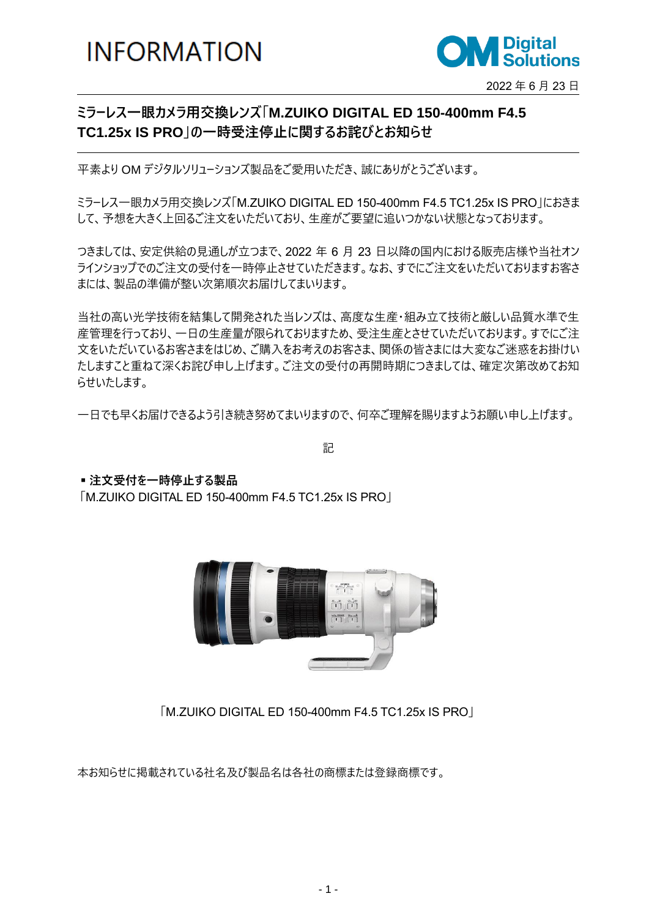**INFORMATION** 



## **ミラーレス一眼カメラ用交換レンズ「M.ZUIKO DIGITAL ED 150-400mm F4.5 TC1.25x IS PRO」の一時受注停止に関するお詫びとお知らせ**

平素より OM デジタルソリューションズ製品をご愛用いただき、誠にありがとうございます。

ミラーレス一眼カメラ用交換レンズ「M.ZUIKO DIGITAL ED 150-400mm F4.5 TC1.25x IS PRO」におきま して、予想を大きく上回るご注文をいただいており、生産がご要望に追いつかない状態となっております。

つきましては、安定供給の見通しが立つまで、2022 年 6 月 23 日以降の国内における販売店様や当社オン ラインショップでのご注文の受付を一時停止させていただきます。なお、すでにご注文をいただいておりますお客さ まには、製品の準備が整い次第順次お届けしてまいります。

当社の高い光学技術を結集して開発された当レンズは、高度な生産・組み立て技術と厳しい品質水準で生 産管理を行っており、一日の生産量が限られておりますため、受注生産とさせていただいております。すでにご注 文をいただいているお客さまをはじめ、ご購入をお考えのお客さま、関係の皆さまには大変なご迷惑をお掛けい たしますこと重ねて深くお詫び申し上げます。ご注文の受付の再開時期につきましては、確定次第改めてお知 らせいたします。

一日でも早くお届けできるよう引き続き努めてまいりますので、何卒ご理解を賜りますようお願い申し上げます。

記

**▪注文受付を一時停止する製品**

「M.ZUIKO DIGITAL ED 150-400mm F4.5 TC1.25x IS PRO」



「M.ZUIKO DIGITAL ED 150-400mm F4.5 TC1.25x IS PRO」

本お知らせに掲載されている社名及び製品名は各社の商標または登録商標です。